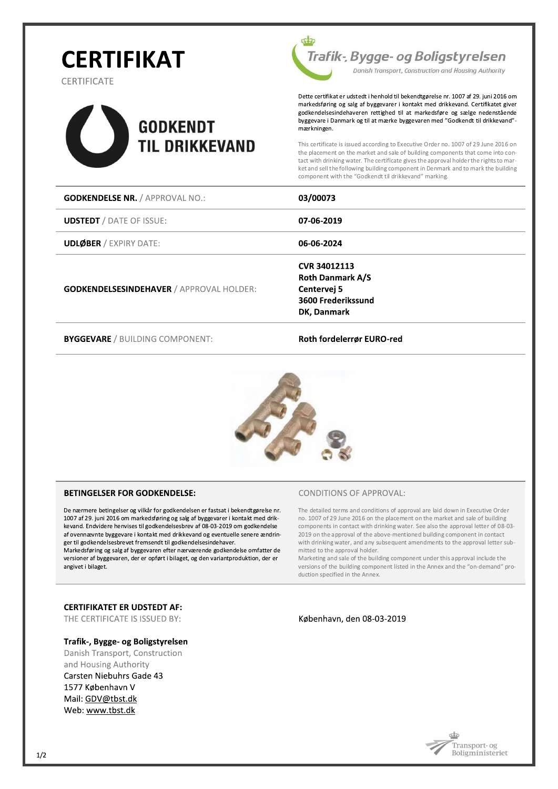# **CERTIFIKAT**

**CERTIFICATE** 





Dette certifikat er udstedt i henhold til bekendtgørelse nr. 1007 af 29. juni 2016 om markedsføring og salg af byggevarer i kontakt med drikkevand. Certifikatet giver godkendelsesindehaveren rettighed til at markedsføre og sælge nedenstående byggevare i Danmark og til at mærke byggevaren med "Godkendt til drikkevand"mærkningen.

This certificate is issued according to Executive Order no. 1007 of 29 June 2016 on the placement on the market and sale of building components that come into contact with drinking water. The certificate gives the approval holder the rights to market and sell the following building component in Denmark and to mark the building component with the "Godkendt til drikkevand" marking

| <b>GODKENDELSE NR. / APPROVAL NO.:</b>          | 03/00073                                                                                           |
|-------------------------------------------------|----------------------------------------------------------------------------------------------------|
| <b>UDSTEDT</b> / DATE OF ISSUE:                 | 07-06-2019                                                                                         |
| <b>UDLØBER / EXPIRY DATE:</b>                   | 06-06-2024                                                                                         |
| <b>GODKENDELSESINDEHAVER / APPROVAL HOLDER:</b> | <b>CVR 34012113</b><br><b>Roth Danmark A/S</b><br>Centervej 5<br>3600 Frederikssund<br>DK, Danmark |

**BYGGEVARE / BUILDING COMPONENT:** 

#### Roth fordelerrør EURO-red



#### **BETINGELSER FOR GODKENDELSE:**

De nærmere betingelser og vilkår for godkendelsen er fastsat i bekendtgørelse nr. 1007 af 29. juni 2016 om markedsføring og salg af byggevarer i kontakt med drikkevand. Endvidere henvises til godkendelsesbrev af 08-03-2019 om godkendelse af ovennævnte byggevare i kontakt med drikkevand og eventuelle senere ændringer til godkendelsesbrevet fremsendt til godkendelsesindehaver.

Markedsføring og salg af byggevaren efter nærværende godkendelse omfatter de versioner af byggevaren, der er opført i bilaget, og den variantproduktion, der er angivet i bilaget.

#### **CERTIFIKATET ER UDSTEDT AF:**

THE CERTIFICATE IS ISSUED BY:

#### Trafik-, Bygge- og Boligstyrelsen

Danish Transport, Construction and Housing Authority Carsten Niebuhrs Gade 43 1577 København V Mail: GDV@tbst.dk Web: www.tbst.dk

#### **CONDITIONS OF APPROVAL:**

The detailed terms and conditions of approval are laid down in Executive Order no. 1007 of 29 June 2016 on the placement on the market and sale of building components in contact with drinking water. See also the approval letter of 08-03-2019 on the approval of the above-mentioned building component in contact with drinking water, and any subsequent amendments to the approval letter submitted to the approval holder.

Marketing and sale of the building component under this approval include the versions of the building component listed in the Annex and the "on-demand" pro duction specified in the Annex.

#### København, den 08-03-2019